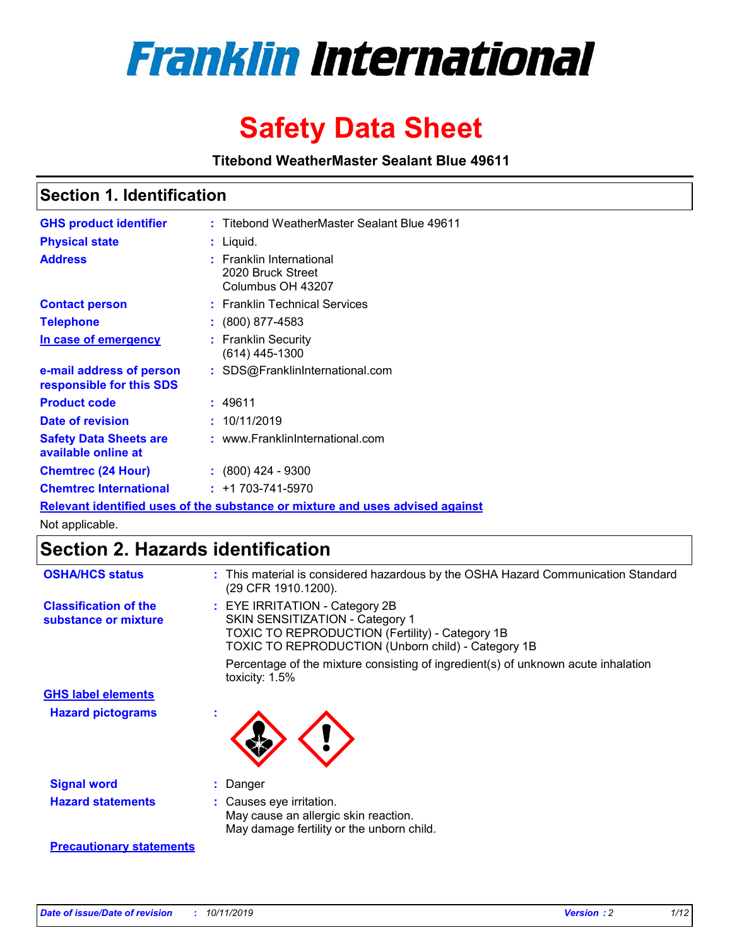

# **Safety Data Sheet**

**Titebond WeatherMaster Sealant Blue 49611**

### **Section 1. Identification**

| <b>GHS product identifier</b>                        | : Titebond WeatherMaster Sealant Blue 49611                                   |
|------------------------------------------------------|-------------------------------------------------------------------------------|
| <b>Physical state</b>                                | : Liquid.                                                                     |
| <b>Address</b>                                       | $:$ Franklin International<br>2020 Bruck Street<br>Columbus OH 43207          |
| <b>Contact person</b>                                | : Franklin Technical Services                                                 |
| <b>Telephone</b>                                     | $\div$ (800) 877-4583                                                         |
| In case of emergency                                 | : Franklin Security<br>(614) 445-1300                                         |
| e-mail address of person<br>responsible for this SDS | : SDS@FranklinInternational.com                                               |
| <b>Product code</b>                                  | : 49611                                                                       |
| Date of revision                                     | : 10/11/2019                                                                  |
| <b>Safety Data Sheets are</b><br>available online at | : www.FranklinInternational.com                                               |
| <b>Chemtrec (24 Hour)</b>                            | $\div$ (800) 424 - 9300                                                       |
| <b>Chemtrec International</b>                        | $: +1703 - 741 - 5970$                                                        |
|                                                      | Relevant identified uses of the substance or mixture and uses advised against |

Not applicable.

## **Section 2. Hazards identification**

| <b>OSHA/HCS status</b>                               | : This material is considered hazardous by the OSHA Hazard Communication Standard<br>(29 CFR 1910.1200).                                                                                 |
|------------------------------------------------------|------------------------------------------------------------------------------------------------------------------------------------------------------------------------------------------|
| <b>Classification of the</b><br>substance or mixture | : EYE IRRITATION - Category 2B<br>SKIN SENSITIZATION - Category 1<br><b>TOXIC TO REPRODUCTION (Fertility) - Category 1B</b><br><b>TOXIC TO REPRODUCTION (Unborn child) - Category 1B</b> |
|                                                      | Percentage of the mixture consisting of ingredient(s) of unknown acute inhalation<br>toxicity: $1.5\%$                                                                                   |
| <b>GHS label elements</b>                            |                                                                                                                                                                                          |
| <b>Hazard pictograms</b>                             |                                                                                                                                                                                          |
| <b>Signal word</b>                                   | : Danger                                                                                                                                                                                 |
| <b>Hazard statements</b>                             | : Causes eye irritation.<br>May cause an allergic skin reaction.<br>May damage fertility or the unborn child.                                                                            |
| <b>Precautionary statements</b>                      |                                                                                                                                                                                          |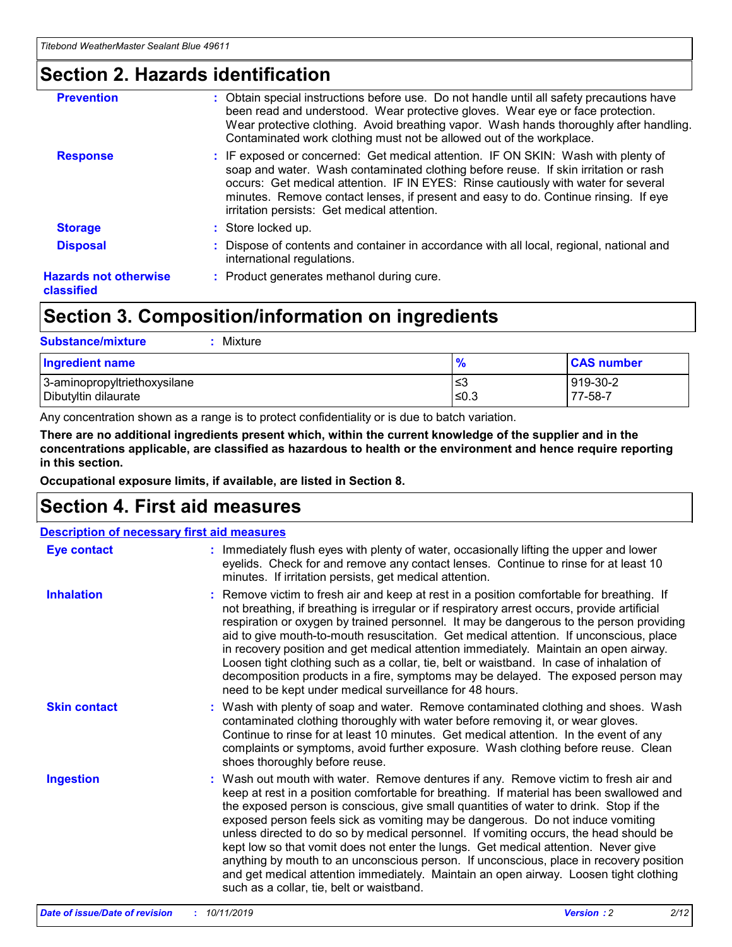### **Section 2. Hazards identification**

| <b>Prevention</b>                          | : Obtain special instructions before use. Do not handle until all safety precautions have<br>been read and understood. Wear protective gloves. Wear eye or face protection.<br>Wear protective clothing. Avoid breathing vapor. Wash hands thoroughly after handling.<br>Contaminated work clothing must not be allowed out of the workplace.                                                        |
|--------------------------------------------|------------------------------------------------------------------------------------------------------------------------------------------------------------------------------------------------------------------------------------------------------------------------------------------------------------------------------------------------------------------------------------------------------|
| <b>Response</b>                            | : IF exposed or concerned: Get medical attention. IF ON SKIN: Wash with plenty of<br>soap and water. Wash contaminated clothing before reuse. If skin irritation or rash<br>occurs: Get medical attention. IF IN EYES: Rinse cautiously with water for several<br>minutes. Remove contact lenses, if present and easy to do. Continue rinsing. If eye<br>irritation persists: Get medical attention. |
| <b>Storage</b>                             | : Store locked up.                                                                                                                                                                                                                                                                                                                                                                                   |
| <b>Disposal</b>                            | : Dispose of contents and container in accordance with all local, regional, national and<br>international regulations.                                                                                                                                                                                                                                                                               |
| <b>Hazards not otherwise</b><br>classified | : Product generates methanol during cure.                                                                                                                                                                                                                                                                                                                                                            |
|                                            |                                                                                                                                                                                                                                                                                                                                                                                                      |

## **Section 3. Composition/information on ingredients**

| <b>Substance/mixture</b><br>Mixture                  |               |                     |
|------------------------------------------------------|---------------|---------------------|
| <b>Ingredient name</b>                               | $\frac{9}{6}$ | <b>CAS number</b>   |
| 3-aminopropyltriethoxysilane<br>Dibutyltin dilaurate | ≤3<br>$≤0.3$  | 919-30-2<br>77-58-7 |

Any concentration shown as a range is to protect confidentiality or is due to batch variation.

**There are no additional ingredients present which, within the current knowledge of the supplier and in the concentrations applicable, are classified as hazardous to health or the environment and hence require reporting in this section.**

**Occupational exposure limits, if available, are listed in Section 8.**

## **Section 4. First aid measures**

| <b>Description of necessary first aid measures</b> |                                                                                                                                                                                                                                                                                                                                                                                                                                                                                                                                                                                                                                                                                                                                                                           |  |  |  |
|----------------------------------------------------|---------------------------------------------------------------------------------------------------------------------------------------------------------------------------------------------------------------------------------------------------------------------------------------------------------------------------------------------------------------------------------------------------------------------------------------------------------------------------------------------------------------------------------------------------------------------------------------------------------------------------------------------------------------------------------------------------------------------------------------------------------------------------|--|--|--|
| <b>Eye contact</b>                                 | : Immediately flush eyes with plenty of water, occasionally lifting the upper and lower<br>eyelids. Check for and remove any contact lenses. Continue to rinse for at least 10<br>minutes. If irritation persists, get medical attention.                                                                                                                                                                                                                                                                                                                                                                                                                                                                                                                                 |  |  |  |
| <b>Inhalation</b>                                  | : Remove victim to fresh air and keep at rest in a position comfortable for breathing. If<br>not breathing, if breathing is irregular or if respiratory arrest occurs, provide artificial<br>respiration or oxygen by trained personnel. It may be dangerous to the person providing<br>aid to give mouth-to-mouth resuscitation. Get medical attention. If unconscious, place<br>in recovery position and get medical attention immediately. Maintain an open airway.<br>Loosen tight clothing such as a collar, tie, belt or waistband. In case of inhalation of<br>decomposition products in a fire, symptoms may be delayed. The exposed person may<br>need to be kept under medical surveillance for 48 hours.                                                       |  |  |  |
| <b>Skin contact</b>                                | : Wash with plenty of soap and water. Remove contaminated clothing and shoes. Wash<br>contaminated clothing thoroughly with water before removing it, or wear gloves.<br>Continue to rinse for at least 10 minutes. Get medical attention. In the event of any<br>complaints or symptoms, avoid further exposure. Wash clothing before reuse. Clean<br>shoes thoroughly before reuse.                                                                                                                                                                                                                                                                                                                                                                                     |  |  |  |
| <b>Ingestion</b>                                   | : Wash out mouth with water. Remove dentures if any. Remove victim to fresh air and<br>keep at rest in a position comfortable for breathing. If material has been swallowed and<br>the exposed person is conscious, give small quantities of water to drink. Stop if the<br>exposed person feels sick as vomiting may be dangerous. Do not induce vomiting<br>unless directed to do so by medical personnel. If vomiting occurs, the head should be<br>kept low so that vomit does not enter the lungs. Get medical attention. Never give<br>anything by mouth to an unconscious person. If unconscious, place in recovery position<br>and get medical attention immediately. Maintain an open airway. Loosen tight clothing<br>such as a collar, tie, belt or waistband. |  |  |  |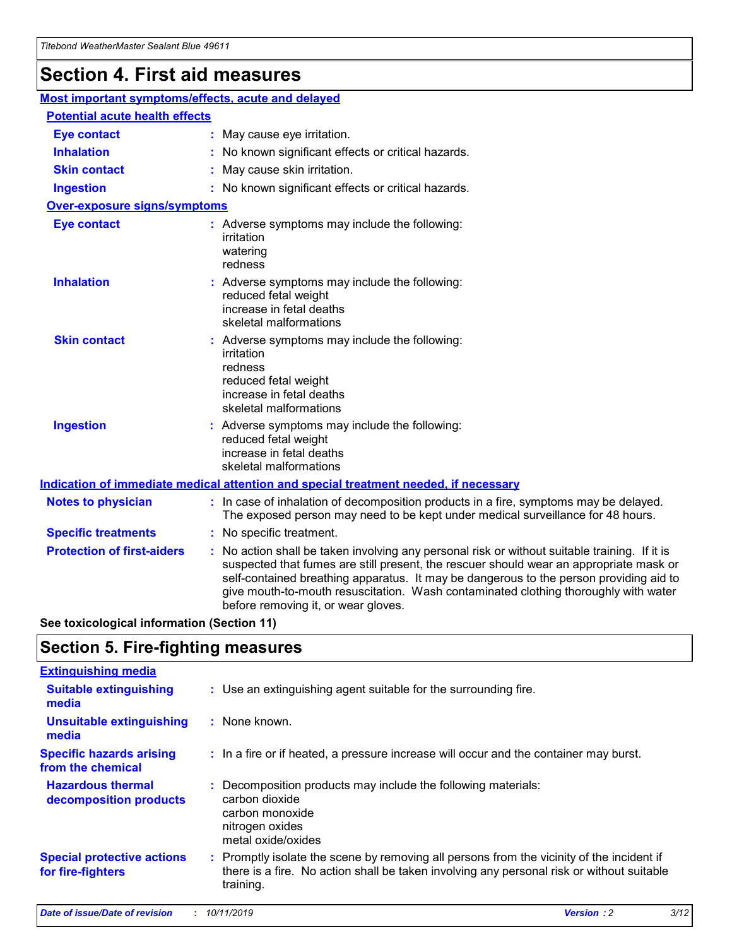## **Section 4. First aid measures**

| Most important symptoms/effects, acute and delayed |                                       |                                                                                                                                                                                                                                                                                                                                                                                                                 |  |  |  |
|----------------------------------------------------|---------------------------------------|-----------------------------------------------------------------------------------------------------------------------------------------------------------------------------------------------------------------------------------------------------------------------------------------------------------------------------------------------------------------------------------------------------------------|--|--|--|
|                                                    | <b>Potential acute health effects</b> |                                                                                                                                                                                                                                                                                                                                                                                                                 |  |  |  |
| <b>Eye contact</b>                                 |                                       | : May cause eye irritation.                                                                                                                                                                                                                                                                                                                                                                                     |  |  |  |
| <b>Inhalation</b>                                  |                                       | : No known significant effects or critical hazards.                                                                                                                                                                                                                                                                                                                                                             |  |  |  |
| <b>Skin contact</b>                                |                                       | : May cause skin irritation.                                                                                                                                                                                                                                                                                                                                                                                    |  |  |  |
| <b>Ingestion</b>                                   |                                       | : No known significant effects or critical hazards.                                                                                                                                                                                                                                                                                                                                                             |  |  |  |
| Over-exposure signs/symptoms                       |                                       |                                                                                                                                                                                                                                                                                                                                                                                                                 |  |  |  |
| <b>Eye contact</b>                                 |                                       | : Adverse symptoms may include the following:<br>irritation<br>watering<br>redness                                                                                                                                                                                                                                                                                                                              |  |  |  |
| <b>Inhalation</b>                                  |                                       | : Adverse symptoms may include the following:<br>reduced fetal weight<br>increase in fetal deaths<br>skeletal malformations                                                                                                                                                                                                                                                                                     |  |  |  |
| <b>Skin contact</b>                                |                                       | : Adverse symptoms may include the following:<br>irritation<br>redness<br>reduced fetal weight<br>increase in fetal deaths<br>skeletal malformations                                                                                                                                                                                                                                                            |  |  |  |
| <b>Ingestion</b>                                   |                                       | : Adverse symptoms may include the following:<br>reduced fetal weight<br>increase in fetal deaths<br>skeletal malformations                                                                                                                                                                                                                                                                                     |  |  |  |
|                                                    |                                       | <b>Indication of immediate medical attention and special treatment needed, if necessary</b>                                                                                                                                                                                                                                                                                                                     |  |  |  |
| <b>Notes to physician</b>                          |                                       | : In case of inhalation of decomposition products in a fire, symptoms may be delayed.<br>The exposed person may need to be kept under medical surveillance for 48 hours.                                                                                                                                                                                                                                        |  |  |  |
| <b>Specific treatments</b>                         |                                       | : No specific treatment.                                                                                                                                                                                                                                                                                                                                                                                        |  |  |  |
| <b>Protection of first-aiders</b>                  |                                       | : No action shall be taken involving any personal risk or without suitable training. If it is<br>suspected that fumes are still present, the rescuer should wear an appropriate mask or<br>self-contained breathing apparatus. It may be dangerous to the person providing aid to<br>give mouth-to-mouth resuscitation. Wash contaminated clothing thoroughly with water<br>before removing it, or wear gloves. |  |  |  |

**See toxicological information (Section 11)**

### **Section 5. Fire-fighting measures**

| <b>Extinguishing media</b>                             |                                                                                                                                                                                                     |
|--------------------------------------------------------|-----------------------------------------------------------------------------------------------------------------------------------------------------------------------------------------------------|
| <b>Suitable extinguishing</b><br>media                 | : Use an extinguishing agent suitable for the surrounding fire.                                                                                                                                     |
| <b>Unsuitable extinguishing</b><br>media               | : None known.                                                                                                                                                                                       |
| <b>Specific hazards arising</b><br>from the chemical   | : In a fire or if heated, a pressure increase will occur and the container may burst.                                                                                                               |
| <b>Hazardous thermal</b><br>decomposition products     | : Decomposition products may include the following materials:<br>carbon dioxide<br>carbon monoxide<br>nitrogen oxides<br>metal oxide/oxides                                                         |
| <b>Special protective actions</b><br>for fire-fighters | : Promptly isolate the scene by removing all persons from the vicinity of the incident if<br>there is a fire. No action shall be taken involving any personal risk or without suitable<br>training. |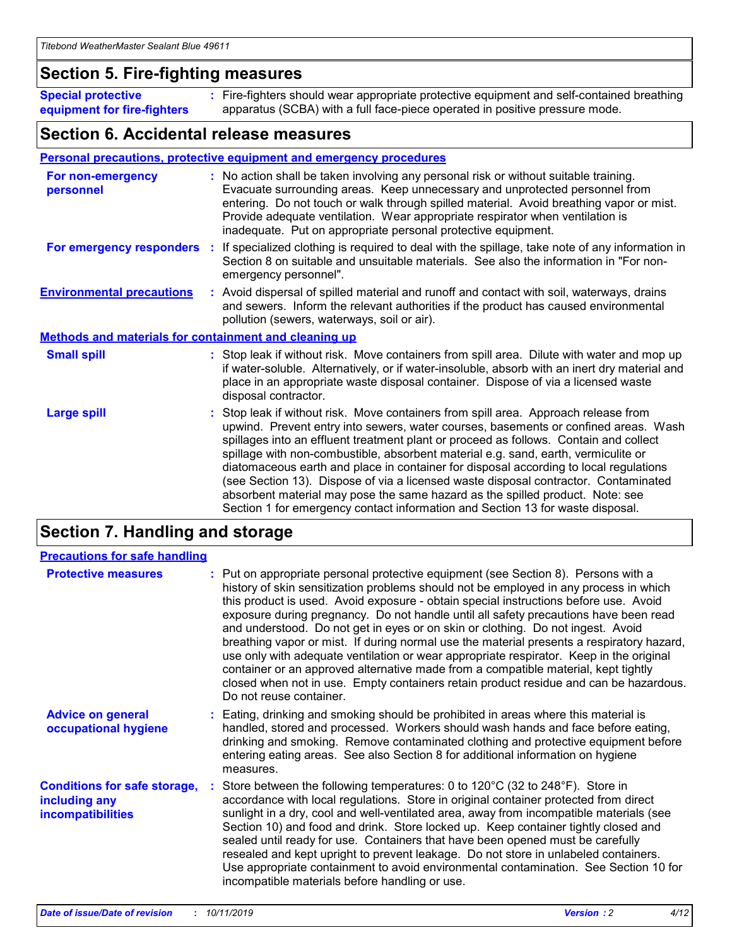### **Section 5. Fire-fighting measures**

**Special protective equipment for fire-fighters** Fire-fighters should wear appropriate protective equipment and self-contained breathing **:** apparatus (SCBA) with a full face-piece operated in positive pressure mode.

### **Section 6. Accidental release measures**

#### **Personal precautions, protective equipment and emergency procedures**

| For non-emergency<br>personnel                               | : No action shall be taken involving any personal risk or without suitable training.<br>Evacuate surrounding areas. Keep unnecessary and unprotected personnel from<br>entering. Do not touch or walk through spilled material. Avoid breathing vapor or mist.<br>Provide adequate ventilation. Wear appropriate respirator when ventilation is<br>inadequate. Put on appropriate personal protective equipment.                                                                                                                                                                                                                                                                                             |
|--------------------------------------------------------------|--------------------------------------------------------------------------------------------------------------------------------------------------------------------------------------------------------------------------------------------------------------------------------------------------------------------------------------------------------------------------------------------------------------------------------------------------------------------------------------------------------------------------------------------------------------------------------------------------------------------------------------------------------------------------------------------------------------|
|                                                              | For emergency responders : If specialized clothing is required to deal with the spillage, take note of any information in<br>Section 8 on suitable and unsuitable materials. See also the information in "For non-<br>emergency personnel".                                                                                                                                                                                                                                                                                                                                                                                                                                                                  |
| <b>Environmental precautions</b>                             | : Avoid dispersal of spilled material and runoff and contact with soil, waterways, drains<br>and sewers. Inform the relevant authorities if the product has caused environmental<br>pollution (sewers, waterways, soil or air).                                                                                                                                                                                                                                                                                                                                                                                                                                                                              |
| <b>Methods and materials for containment and cleaning up</b> |                                                                                                                                                                                                                                                                                                                                                                                                                                                                                                                                                                                                                                                                                                              |
| <b>Small spill</b>                                           | : Stop leak if without risk. Move containers from spill area. Dilute with water and mop up<br>if water-soluble. Alternatively, or if water-insoluble, absorb with an inert dry material and<br>place in an appropriate waste disposal container. Dispose of via a licensed waste<br>disposal contractor.                                                                                                                                                                                                                                                                                                                                                                                                     |
| <b>Large spill</b>                                           | : Stop leak if without risk. Move containers from spill area. Approach release from<br>upwind. Prevent entry into sewers, water courses, basements or confined areas. Wash<br>spillages into an effluent treatment plant or proceed as follows. Contain and collect<br>spillage with non-combustible, absorbent material e.g. sand, earth, vermiculite or<br>diatomaceous earth and place in container for disposal according to local regulations<br>(see Section 13). Dispose of via a licensed waste disposal contractor. Contaminated<br>absorbent material may pose the same hazard as the spilled product. Note: see<br>Section 1 for emergency contact information and Section 13 for waste disposal. |

## **Section 7. Handling and storage**

| <b>Precautions for safe handling</b>                                             |                                                                                                                                                                                                                                                                                                                                                                                                                                                                                                                                                                                                                                                                                                                                                                                                                                                  |
|----------------------------------------------------------------------------------|--------------------------------------------------------------------------------------------------------------------------------------------------------------------------------------------------------------------------------------------------------------------------------------------------------------------------------------------------------------------------------------------------------------------------------------------------------------------------------------------------------------------------------------------------------------------------------------------------------------------------------------------------------------------------------------------------------------------------------------------------------------------------------------------------------------------------------------------------|
| <b>Protective measures</b>                                                       | : Put on appropriate personal protective equipment (see Section 8). Persons with a<br>history of skin sensitization problems should not be employed in any process in which<br>this product is used. Avoid exposure - obtain special instructions before use. Avoid<br>exposure during pregnancy. Do not handle until all safety precautions have been read<br>and understood. Do not get in eyes or on skin or clothing. Do not ingest. Avoid<br>breathing vapor or mist. If during normal use the material presents a respiratory hazard,<br>use only with adequate ventilation or wear appropriate respirator. Keep in the original<br>container or an approved alternative made from a compatible material, kept tightly<br>closed when not in use. Empty containers retain product residue and can be hazardous.<br>Do not reuse container. |
| <b>Advice on general</b><br>occupational hygiene                                 | : Eating, drinking and smoking should be prohibited in areas where this material is<br>handled, stored and processed. Workers should wash hands and face before eating,<br>drinking and smoking. Remove contaminated clothing and protective equipment before<br>entering eating areas. See also Section 8 for additional information on hygiene<br>measures.                                                                                                                                                                                                                                                                                                                                                                                                                                                                                    |
| <b>Conditions for safe storage,</b><br>including any<br><b>incompatibilities</b> | Store between the following temperatures: 0 to 120 $\degree$ C (32 to 248 $\degree$ F). Store in<br>accordance with local regulations. Store in original container protected from direct<br>sunlight in a dry, cool and well-ventilated area, away from incompatible materials (see<br>Section 10) and food and drink. Store locked up. Keep container tightly closed and<br>sealed until ready for use. Containers that have been opened must be carefully<br>resealed and kept upright to prevent leakage. Do not store in unlabeled containers.<br>Use appropriate containment to avoid environmental contamination. See Section 10 for<br>incompatible materials before handling or use.                                                                                                                                                     |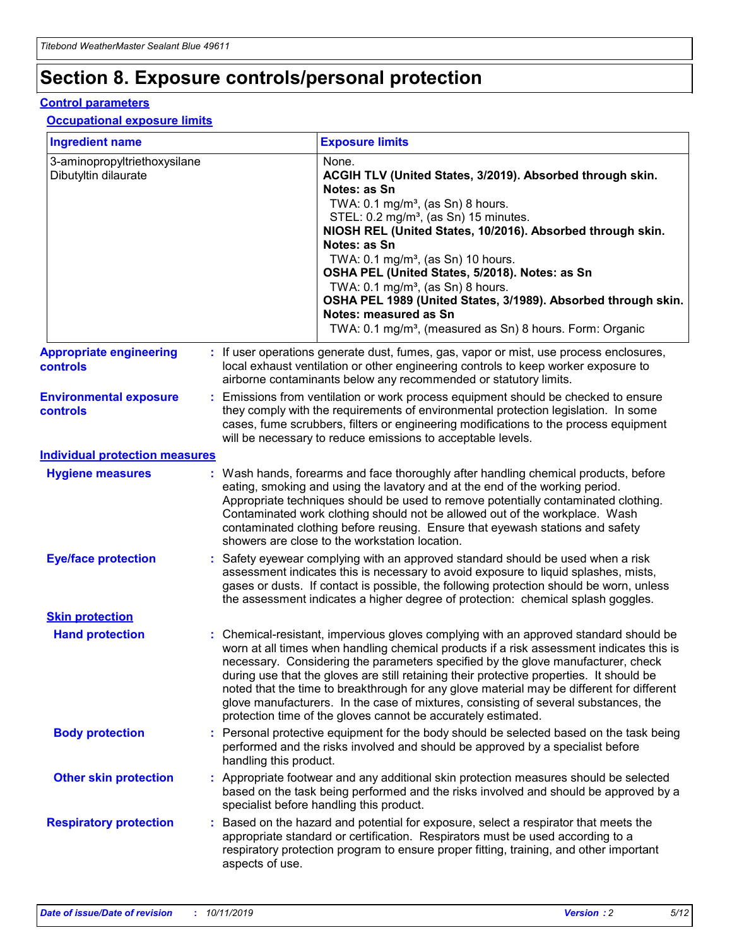## **Section 8. Exposure controls/personal protection**

#### **Control parameters**

#### **Occupational exposure limits**

| <b>Ingredient name</b>                               |    |                                          | <b>Exposure limits</b>                                                                                                                                                                                                                                                                                                                                                                                                                                                                                                                                                                                                 |
|------------------------------------------------------|----|------------------------------------------|------------------------------------------------------------------------------------------------------------------------------------------------------------------------------------------------------------------------------------------------------------------------------------------------------------------------------------------------------------------------------------------------------------------------------------------------------------------------------------------------------------------------------------------------------------------------------------------------------------------------|
| 3-aminopropyltriethoxysilane<br>Dibutyltin dilaurate |    |                                          | None.<br>ACGIH TLV (United States, 3/2019). Absorbed through skin.<br>Notes: as Sn<br>TWA: 0.1 mg/m <sup>3</sup> , (as Sn) 8 hours.<br>STEL: 0.2 mg/m <sup>3</sup> , (as Sn) 15 minutes.<br>NIOSH REL (United States, 10/2016). Absorbed through skin.<br>Notes: as Sn<br>TWA: 0.1 mg/m <sup>3</sup> , (as Sn) 10 hours.<br>OSHA PEL (United States, 5/2018). Notes: as Sn<br>TWA: $0.1 \text{ mg/m}^3$ , (as Sn) 8 hours.<br>OSHA PEL 1989 (United States, 3/1989). Absorbed through skin.<br>Notes: measured as Sn<br>TWA: 0.1 mg/m <sup>3</sup> , (measured as Sn) 8 hours. Form: Organic                           |
| <b>Appropriate engineering</b><br>controls           |    |                                          | : If user operations generate dust, fumes, gas, vapor or mist, use process enclosures,<br>local exhaust ventilation or other engineering controls to keep worker exposure to<br>airborne contaminants below any recommended or statutory limits.                                                                                                                                                                                                                                                                                                                                                                       |
| <b>Environmental exposure</b><br><b>controls</b>     |    |                                          | Emissions from ventilation or work process equipment should be checked to ensure<br>they comply with the requirements of environmental protection legislation. In some<br>cases, fume scrubbers, filters or engineering modifications to the process equipment<br>will be necessary to reduce emissions to acceptable levels.                                                                                                                                                                                                                                                                                          |
| <b>Individual protection measures</b>                |    |                                          |                                                                                                                                                                                                                                                                                                                                                                                                                                                                                                                                                                                                                        |
| <b>Hygiene measures</b>                              |    |                                          | : Wash hands, forearms and face thoroughly after handling chemical products, before<br>eating, smoking and using the lavatory and at the end of the working period.<br>Appropriate techniques should be used to remove potentially contaminated clothing.<br>Contaminated work clothing should not be allowed out of the workplace. Wash<br>contaminated clothing before reusing. Ensure that eyewash stations and safety<br>showers are close to the workstation location.                                                                                                                                            |
| <b>Eye/face protection</b>                           |    |                                          | : Safety eyewear complying with an approved standard should be used when a risk<br>assessment indicates this is necessary to avoid exposure to liquid splashes, mists,<br>gases or dusts. If contact is possible, the following protection should be worn, unless<br>the assessment indicates a higher degree of protection: chemical splash goggles.                                                                                                                                                                                                                                                                  |
| <b>Skin protection</b>                               |    |                                          |                                                                                                                                                                                                                                                                                                                                                                                                                                                                                                                                                                                                                        |
| <b>Hand protection</b>                               |    |                                          | : Chemical-resistant, impervious gloves complying with an approved standard should be<br>worn at all times when handling chemical products if a risk assessment indicates this is<br>necessary. Considering the parameters specified by the glove manufacturer, check<br>during use that the gloves are still retaining their protective properties. It should be<br>noted that the time to breakthrough for any glove material may be different for different<br>glove manufacturers. In the case of mixtures, consisting of several substances, the<br>protection time of the gloves cannot be accurately estimated. |
| <b>Body protection</b>                               |    | handling this product.                   | Personal protective equipment for the body should be selected based on the task being<br>performed and the risks involved and should be approved by a specialist before                                                                                                                                                                                                                                                                                                                                                                                                                                                |
| <b>Other skin protection</b>                         |    | specialist before handling this product. | : Appropriate footwear and any additional skin protection measures should be selected<br>based on the task being performed and the risks involved and should be approved by a                                                                                                                                                                                                                                                                                                                                                                                                                                          |
| <b>Respiratory protection</b>                        | ÷. | aspects of use.                          | Based on the hazard and potential for exposure, select a respirator that meets the<br>appropriate standard or certification. Respirators must be used according to a<br>respiratory protection program to ensure proper fitting, training, and other important                                                                                                                                                                                                                                                                                                                                                         |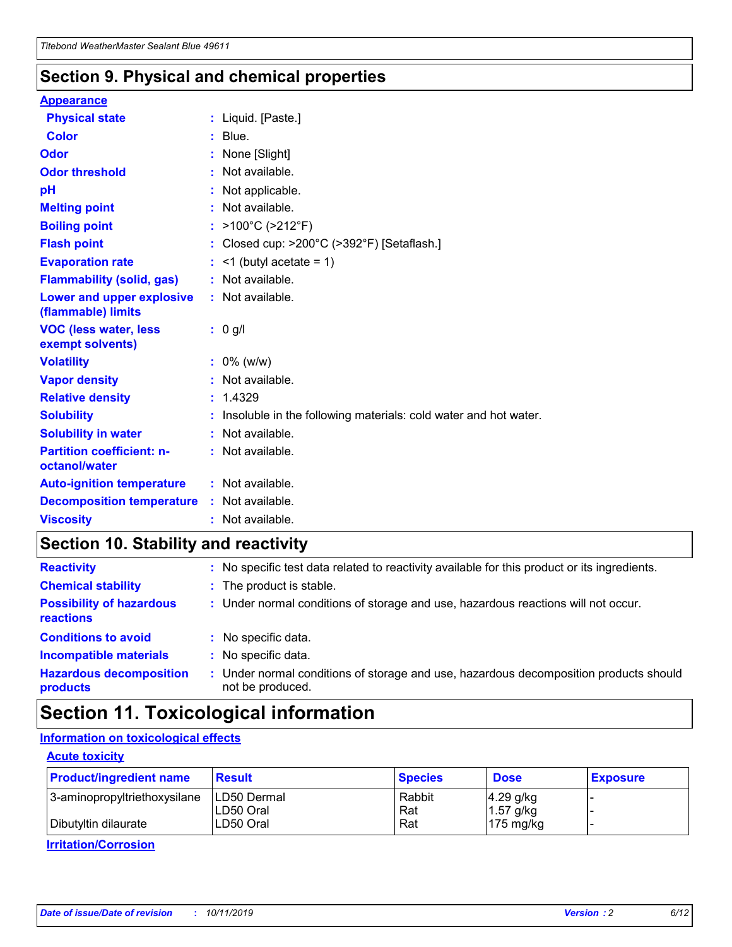### **Section 9. Physical and chemical properties**

#### **Appearance**

| <b>Physical state</b>                             | : Liquid. [Paste.]                                              |
|---------------------------------------------------|-----------------------------------------------------------------|
| <b>Color</b>                                      | $:$ Blue.                                                       |
| Odor                                              | None [Slight]                                                   |
| <b>Odor threshold</b>                             | $:$ Not available.                                              |
| рH                                                | : Not applicable.                                               |
| <b>Melting point</b>                              | : Not available.                                                |
| <b>Boiling point</b>                              | : >100°C (>212°F)                                               |
| <b>Flash point</b>                                | : Closed cup: >200°C (>392°F) [Setaflash.]                      |
| <b>Evaporation rate</b>                           | $:$ <1 (butyl acetate = 1)                                      |
| <b>Flammability (solid, gas)</b>                  | : Not available.                                                |
| Lower and upper explosive<br>(flammable) limits   | : Not available.                                                |
| <b>VOC (less water, less</b><br>exempt solvents)  | $: 0$ g/l                                                       |
| <b>Volatility</b>                                 | $: 0\%$ (w/w)                                                   |
| <b>Vapor density</b>                              | : Not available.                                                |
| <b>Relative density</b>                           | : 1.4329                                                        |
| <b>Solubility</b>                                 | Insoluble in the following materials: cold water and hot water. |
| <b>Solubility in water</b>                        | : Not available.                                                |
| <b>Partition coefficient: n-</b><br>octanol/water | : Not available.                                                |
| <b>Auto-ignition temperature</b>                  | : Not available.                                                |
|                                                   |                                                                 |
| <b>Decomposition temperature</b>                  | : Not available.                                                |

## **Section 10. Stability and reactivity**

| <b>Reactivity</b>                            |    | : No specific test data related to reactivity available for this product or its ingredients.            |
|----------------------------------------------|----|---------------------------------------------------------------------------------------------------------|
| <b>Chemical stability</b>                    |    | : The product is stable.                                                                                |
| <b>Possibility of hazardous</b><br>reactions |    | : Under normal conditions of storage and use, hazardous reactions will not occur.                       |
| <b>Conditions to avoid</b>                   |    | : No specific data.                                                                                     |
| <b>Incompatible materials</b>                | ٠. | No specific data.                                                                                       |
| <b>Hazardous decomposition</b><br>products   | ÷. | Under normal conditions of storage and use, hazardous decomposition products should<br>not be produced. |

## **Section 11. Toxicological information**

#### **Information on toxicological effects**

#### **Acute toxicity**

| <b>Product/ingredient name</b> | <b>Result</b>           | <b>Species</b> | <b>Dose</b>                | <b>Exposure</b> |
|--------------------------------|-------------------------|----------------|----------------------------|-----------------|
| 3-aminopropyltriethoxysilane   | <b>ILD50 Dermal</b>     | Rabbit         | 4.29 g/kg                  |                 |
| Dibutyltin dilaurate           | ILD50 Oral<br>LD50 Oral | Rat<br>Rat     | $1.57$ g/kg<br>175 $mg/kg$ |                 |
|                                |                         |                |                            |                 |

**Irritation/Corrosion**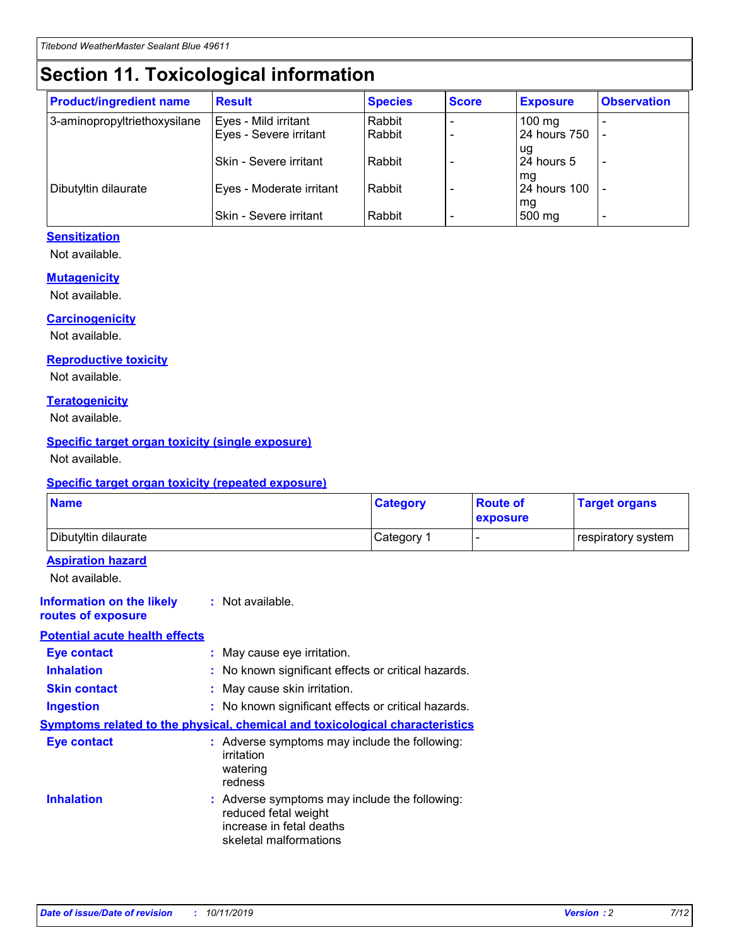## **Section 11. Toxicological information**

| <b>Product/ingredient name</b> | <b>Result</b>            | <b>Species</b> | <b>Score</b> | <b>Exposure</b>           | <b>Observation</b> |
|--------------------------------|--------------------------|----------------|--------------|---------------------------|--------------------|
| 3-aminopropyltriethoxysilane   | Eyes - Mild irritant     | Rabbit         |              | $100$ mg                  |                    |
|                                | Eyes - Severe irritant   | Rabbit         |              | 24 hours 750              |                    |
|                                |                          |                |              | ug                        |                    |
|                                | Skin - Severe irritant   | Rabbit         |              | 24 hours 5                | -                  |
| Dibutyltin dilaurate           | Eyes - Moderate irritant | Rabbit         |              | mg<br><b>24 hours 100</b> |                    |
|                                |                          |                |              | mg                        |                    |
|                                | Skin - Severe irritant   | Rabbit         |              | 500 mg                    | -                  |

#### **Sensitization**

Not available.

#### **Mutagenicity**

Not available.

#### **Carcinogenicity**

Not available.

#### **Reproductive toxicity**

Not available.

#### **Teratogenicity**

Not available.

#### **Specific target organ toxicity (single exposure)**

Not available.

#### **Specific target organ toxicity (repeated exposure)**

| <b>Name</b>                                                                         |                                                                            | <b>Category</b>                                     | <b>Route of</b><br>exposure | <b>Target organs</b> |
|-------------------------------------------------------------------------------------|----------------------------------------------------------------------------|-----------------------------------------------------|-----------------------------|----------------------|
| Dibutyltin dilaurate                                                                |                                                                            | Category 1                                          |                             | respiratory system   |
| <b>Aspiration hazard</b><br>Not available.                                          |                                                                            |                                                     |                             |                      |
| <b>Information on the likely</b><br>routes of exposure                              | : Not available.                                                           |                                                     |                             |                      |
| <b>Potential acute health effects</b>                                               |                                                                            |                                                     |                             |                      |
| <b>Eye contact</b>                                                                  | : May cause eye irritation.                                                |                                                     |                             |                      |
| <b>Inhalation</b>                                                                   |                                                                            | : No known significant effects or critical hazards. |                             |                      |
| <b>Skin contact</b>                                                                 | : May cause skin irritation.                                               |                                                     |                             |                      |
| <b>Ingestion</b>                                                                    |                                                                            | : No known significant effects or critical hazards. |                             |                      |
| <b>Symptoms related to the physical, chemical and toxicological characteristics</b> |                                                                            |                                                     |                             |                      |
| <b>Eye contact</b>                                                                  | irritation<br>watering<br>redness                                          | : Adverse symptoms may include the following:       |                             |                      |
| <b>Inhalation</b>                                                                   | reduced fetal weight<br>increase in fetal deaths<br>skeletal malformations | : Adverse symptoms may include the following:       |                             |                      |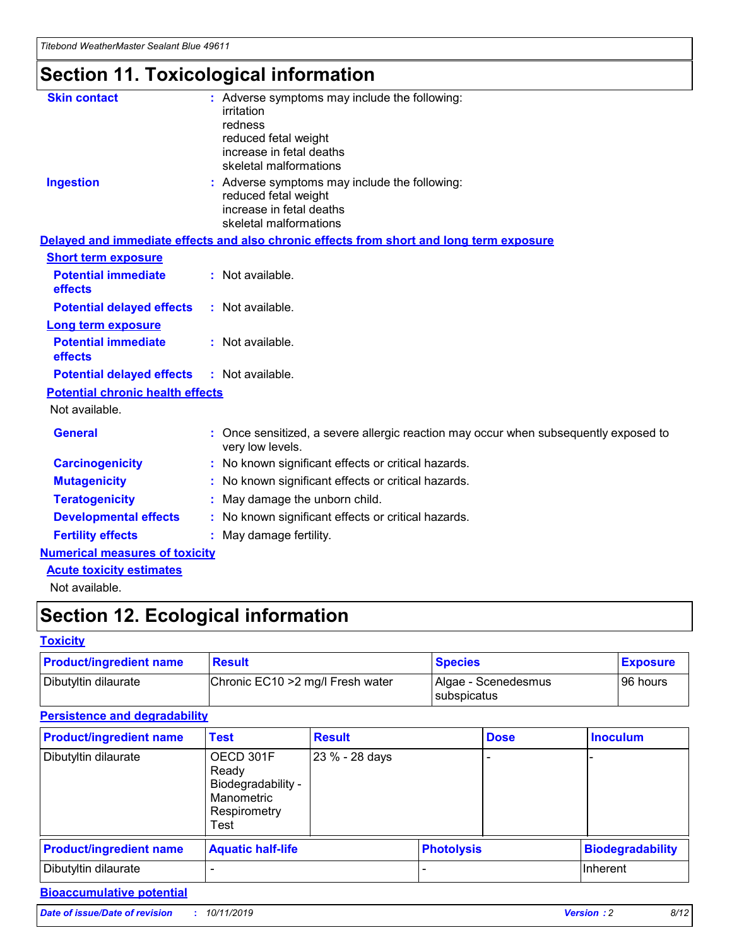## **Section 11. Toxicological information**

| <b>Skin contact</b>                     | : Adverse symptoms may include the following:<br>irritation<br>redness<br>reduced fetal weight<br>increase in fetal deaths<br>skeletal malformations |
|-----------------------------------------|------------------------------------------------------------------------------------------------------------------------------------------------------|
| <b>Ingestion</b>                        | : Adverse symptoms may include the following:<br>reduced fetal weight<br>increase in fetal deaths<br>skeletal malformations                          |
|                                         | Delayed and immediate effects and also chronic effects from short and long term exposure                                                             |
| <b>Short term exposure</b>              |                                                                                                                                                      |
| <b>Potential immediate</b><br>effects   | : Not available.                                                                                                                                     |
| <b>Potential delayed effects</b>        | : Not available.                                                                                                                                     |
| <b>Long term exposure</b>               |                                                                                                                                                      |
| <b>Potential immediate</b><br>effects   | : Not available.                                                                                                                                     |
| <b>Potential delayed effects</b>        | : Not available.                                                                                                                                     |
| <b>Potential chronic health effects</b> |                                                                                                                                                      |
| Not available.                          |                                                                                                                                                      |
| <b>General</b>                          | : Once sensitized, a severe allergic reaction may occur when subsequently exposed to<br>very low levels.                                             |
| <b>Carcinogenicity</b>                  | : No known significant effects or critical hazards.                                                                                                  |
| <b>Mutagenicity</b>                     | No known significant effects or critical hazards.                                                                                                    |
| <b>Teratogenicity</b>                   | May damage the unborn child.                                                                                                                         |
| <b>Developmental effects</b>            | No known significant effects or critical hazards.                                                                                                    |
| <b>Fertility effects</b>                | : May damage fertility.                                                                                                                              |
| <b>Numerical measures of toxicity</b>   |                                                                                                                                                      |
| <b>Acute toxicity estimates</b>         |                                                                                                                                                      |
|                                         |                                                                                                                                                      |

Not available.

## **Section 12. Ecological information**

#### **Toxicity**

| <b>Product/ingredient name</b> | <b>Result</b>                     | <b>Species</b>                       | <b>Exposure</b> |
|--------------------------------|-----------------------------------|--------------------------------------|-----------------|
| Dibutyltin dilaurate           | Chronic EC10 > 2 mg/l Fresh water | Algae - Scenedesmus<br>I subspicatus | l 96 hours      |

#### **Persistence and degradability**

| <b>Product/ingredient name</b> | <b>Test</b>                                                                    | <b>Result</b>  |                   | <b>Dose</b> | <b>Inoculum</b>         |
|--------------------------------|--------------------------------------------------------------------------------|----------------|-------------------|-------------|-------------------------|
| Dibutyltin dilaurate           | OECD 301F<br>Ready<br>Biodegradability -<br>Manometric<br>Respirometry<br>Test | 23 % - 28 days |                   |             |                         |
| <b>Product/ingredient name</b> | <b>Aquatic half-life</b>                                                       |                | <b>Photolysis</b> |             | <b>Biodegradability</b> |
| Dibutyltin dilaurate           |                                                                                |                |                   |             | Inherent                |

#### **Bioaccumulative potential**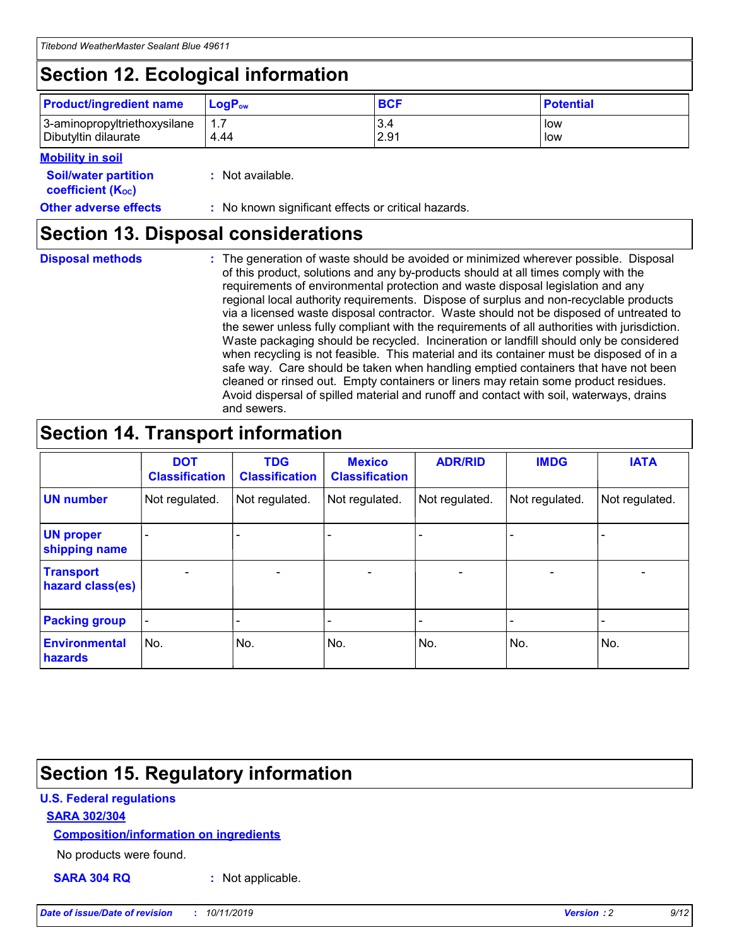## **Section 12. Ecological information**

| <b>Product/ingredient name</b> | $LoaPow$ | <b>BCF</b> | <b>Potential</b> |
|--------------------------------|----------|------------|------------------|
| 3-aminopropyltriethoxysilane   | 1.7      | 3.4        | low              |
| Dibutyltin dilaurate           | 4.44     | 2.91       | low              |

#### **Mobility in soil**

| <b>Soil/water partition</b><br>coefficient (K <sub>oc</sub> ) | : Not available.                                    |
|---------------------------------------------------------------|-----------------------------------------------------|
| <b>Other adverse effects</b>                                  | : No known significant effects or critical hazards. |

### **Section 13. Disposal considerations**

**Disposal methods :**

The generation of waste should be avoided or minimized wherever possible. Disposal of this product, solutions and any by-products should at all times comply with the requirements of environmental protection and waste disposal legislation and any regional local authority requirements. Dispose of surplus and non-recyclable products via a licensed waste disposal contractor. Waste should not be disposed of untreated to the sewer unless fully compliant with the requirements of all authorities with jurisdiction. Waste packaging should be recycled. Incineration or landfill should only be considered when recycling is not feasible. This material and its container must be disposed of in a safe way. Care should be taken when handling emptied containers that have not been cleaned or rinsed out. Empty containers or liners may retain some product residues. Avoid dispersal of spilled material and runoff and contact with soil, waterways, drains and sewers.

## **Section 14. Transport information**

|                                      | <b>DOT</b><br><b>Classification</b> | <b>TDG</b><br><b>Classification</b> | <b>Mexico</b><br><b>Classification</b> | <b>ADR/RID</b>           | <b>IMDG</b>              | <b>IATA</b>              |
|--------------------------------------|-------------------------------------|-------------------------------------|----------------------------------------|--------------------------|--------------------------|--------------------------|
| <b>UN number</b>                     | Not regulated.                      | Not regulated.                      | Not regulated.                         | Not regulated.           | Not regulated.           | Not regulated.           |
| <b>UN proper</b><br>shipping name    | $\qquad \qquad \blacksquare$        |                                     |                                        |                          |                          |                          |
| <b>Transport</b><br>hazard class(es) | $\overline{\phantom{m}}$            | $\overline{\phantom{0}}$            | $\qquad \qquad$                        | $\overline{\phantom{a}}$ | $\overline{\phantom{0}}$ | $\overline{\phantom{0}}$ |
| <b>Packing group</b>                 | $\overline{\phantom{a}}$            | -                                   |                                        |                          |                          |                          |
| <b>Environmental</b><br>hazards      | No.                                 | No.                                 | No.                                    | No.                      | No.                      | No.                      |

## **Section 15. Regulatory information**

#### **U.S. Federal regulations**

#### **SARA 302/304**

#### **Composition/information on ingredients**

No products were found.

**SARA 304 RQ :** Not applicable.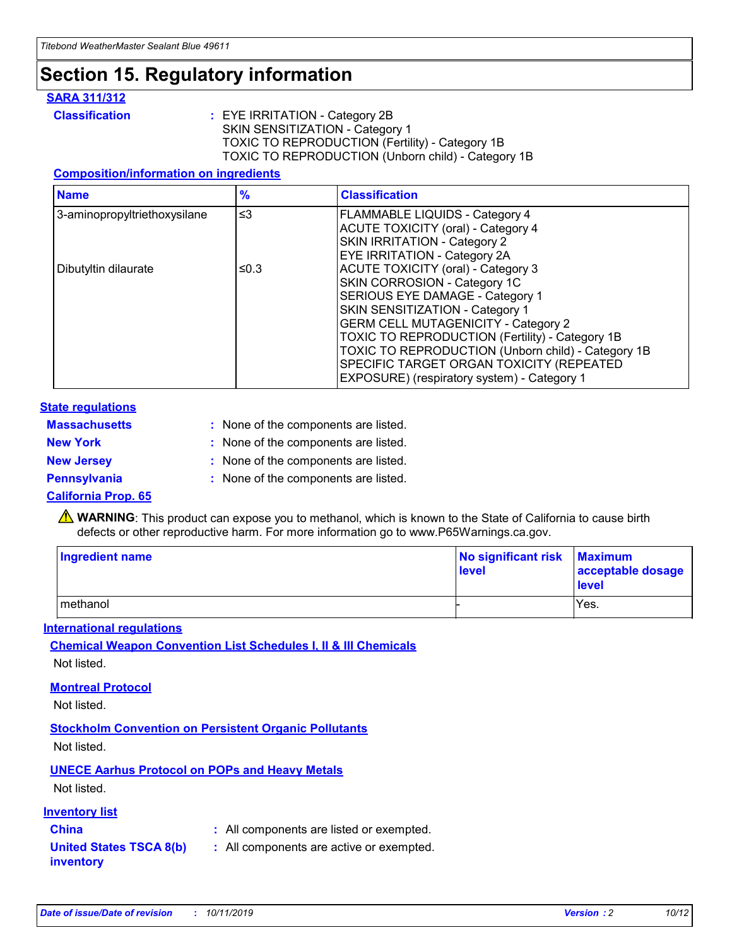## **Section 15. Regulatory information**

#### **SARA 311/312**

**Classification :** EYE IRRITATION - Category 2B SKIN SENSITIZATION - Category 1 TOXIC TO REPRODUCTION (Fertility) - Category 1B TOXIC TO REPRODUCTION (Unborn child) - Category 1B

#### **Composition/information on ingredients**

| <b>Name</b>                  | $\frac{9}{6}$ | <b>Classification</b>                                                                                            |
|------------------------------|---------------|------------------------------------------------------------------------------------------------------------------|
| 3-aminopropyltriethoxysilane | $\leq$ 3      | <b>FLAMMABLE LIQUIDS - Category 4</b><br><b>ACUTE TOXICITY (oral) - Category 4</b>                               |
|                              |               | SKIN IRRITATION - Category 2<br>EYE IRRITATION - Category 2A                                                     |
| Dibutyltin dilaurate         | ≤0.3          | ACUTE TOXICITY (oral) - Category 3<br>SKIN CORROSION - Category 1C                                               |
|                              |               | SERIOUS EYE DAMAGE - Category 1<br>SKIN SENSITIZATION - Category 1<br><b>GERM CELL MUTAGENICITY - Category 2</b> |
|                              |               | TOXIC TO REPRODUCTION (Fertility) - Category 1B<br>TOXIC TO REPRODUCTION (Unborn child) - Category 1B            |
|                              |               | SPECIFIC TARGET ORGAN TOXICITY (REPEATED<br>EXPOSURE) (respiratory system) - Category 1                          |

#### **State regulations**

| <b>Massachusetts</b> | : None of the components are listed. |
|----------------------|--------------------------------------|
| <b>New York</b>      | : None of the components are listed. |
| <b>New Jersey</b>    | : None of the components are listed. |
| <b>Pennsylvania</b>  | : None of the components are listed. |

#### **California Prop. 65**

**A** WARNING: This product can expose you to methanol, which is known to the State of California to cause birth defects or other reproductive harm. For more information go to www.P65Warnings.ca.gov.

| <b>Ingredient name</b> | No significant risk Maximum<br>level | acceptable dosage<br>level |
|------------------------|--------------------------------------|----------------------------|
| methanol               |                                      | Yes.                       |

#### **International regulations**

**Chemical Weapon Convention List Schedules I, II & III Chemicals** Not listed.

#### **Montreal Protocol**

Not listed.

**Stockholm Convention on Persistent Organic Pollutants**

Not listed.

#### **UNECE Aarhus Protocol on POPs and Heavy Metals**

Not listed.

#### **Inventory list**

### **China :** All components are listed or exempted.

**United States TSCA 8(b) inventory :** All components are active or exempted.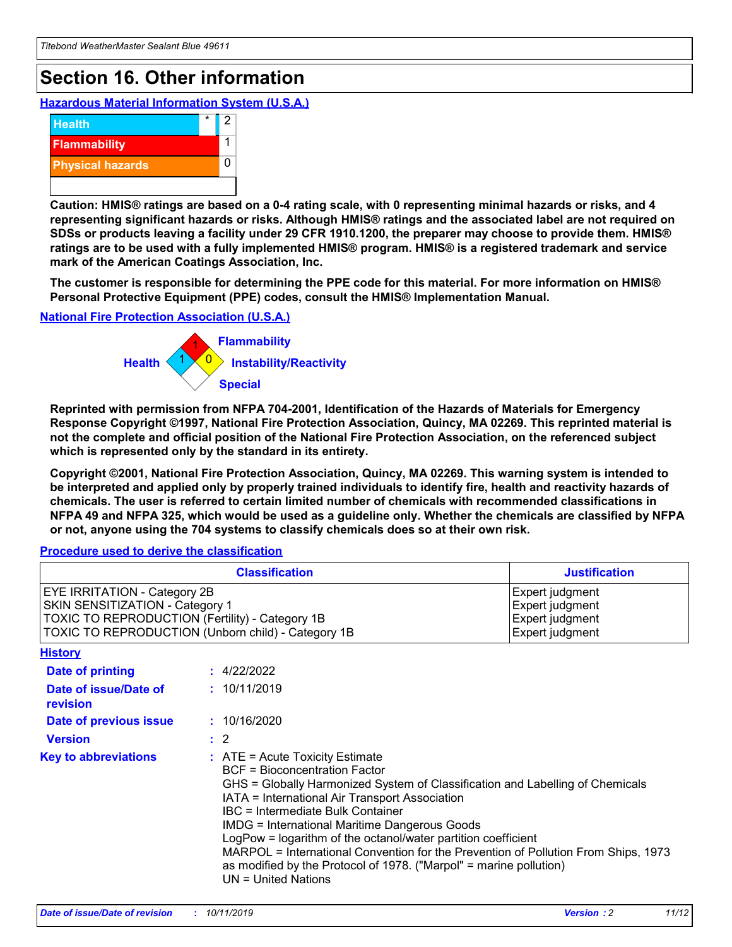## **Section 16. Other information**

**Hazardous Material Information System (U.S.A.)**



**Caution: HMIS® ratings are based on a 0-4 rating scale, with 0 representing minimal hazards or risks, and 4 representing significant hazards or risks. Although HMIS® ratings and the associated label are not required on SDSs or products leaving a facility under 29 CFR 1910.1200, the preparer may choose to provide them. HMIS® ratings are to be used with a fully implemented HMIS® program. HMIS® is a registered trademark and service mark of the American Coatings Association, Inc.**

**The customer is responsible for determining the PPE code for this material. For more information on HMIS® Personal Protective Equipment (PPE) codes, consult the HMIS® Implementation Manual.**

#### **National Fire Protection Association (U.S.A.)**



**Reprinted with permission from NFPA 704-2001, Identification of the Hazards of Materials for Emergency Response Copyright ©1997, National Fire Protection Association, Quincy, MA 02269. This reprinted material is not the complete and official position of the National Fire Protection Association, on the referenced subject which is represented only by the standard in its entirety.**

**Copyright ©2001, National Fire Protection Association, Quincy, MA 02269. This warning system is intended to be interpreted and applied only by properly trained individuals to identify fire, health and reactivity hazards of chemicals. The user is referred to certain limited number of chemicals with recommended classifications in NFPA 49 and NFPA 325, which would be used as a guideline only. Whether the chemicals are classified by NFPA or not, anyone using the 704 systems to classify chemicals does so at their own risk.**

#### **Procedure used to derive the classification**

| <b>Classification</b>                                                                                                                                                                  |                                                                                                                                                                                                                                                                   | <b>Justification</b>                                                                                                                                                                                                                                                                                       |  |
|----------------------------------------------------------------------------------------------------------------------------------------------------------------------------------------|-------------------------------------------------------------------------------------------------------------------------------------------------------------------------------------------------------------------------------------------------------------------|------------------------------------------------------------------------------------------------------------------------------------------------------------------------------------------------------------------------------------------------------------------------------------------------------------|--|
| <b>EYE IRRITATION - Category 2B</b><br>SKIN SENSITIZATION - Category 1<br><b>TOXIC TO REPRODUCTION (Fertility) - Category 1B</b><br>TOXIC TO REPRODUCTION (Unborn child) - Category 1B |                                                                                                                                                                                                                                                                   | Expert judgment<br>Expert judgment<br>Expert judgment<br>Expert judgment                                                                                                                                                                                                                                   |  |
| <b>History</b>                                                                                                                                                                         |                                                                                                                                                                                                                                                                   |                                                                                                                                                                                                                                                                                                            |  |
| <b>Date of printing</b>                                                                                                                                                                | : 4/22/2022                                                                                                                                                                                                                                                       |                                                                                                                                                                                                                                                                                                            |  |
| Date of issue/Date of<br>revision                                                                                                                                                      | : 10/11/2019                                                                                                                                                                                                                                                      |                                                                                                                                                                                                                                                                                                            |  |
| Date of previous issue                                                                                                                                                                 | : 10/16/2020                                                                                                                                                                                                                                                      |                                                                                                                                                                                                                                                                                                            |  |
| <b>Version</b>                                                                                                                                                                         | $\therefore$ 2                                                                                                                                                                                                                                                    |                                                                                                                                                                                                                                                                                                            |  |
| <b>Key to abbreviations</b>                                                                                                                                                            | $\therefore$ ATE = Acute Toxicity Estimate<br><b>BCF</b> = Bioconcentration Factor<br>IATA = International Air Transport Association<br><b>IBC</b> = Intermediate Bulk Container<br><b>IMDG = International Maritime Dangerous Goods</b><br>$UN = United Nations$ | GHS = Globally Harmonized System of Classification and Labelling of Chemicals<br>LogPow = logarithm of the octanol/water partition coefficient<br>MARPOL = International Convention for the Prevention of Pollution From Ships, 1973<br>as modified by the Protocol of 1978. ("Marpol" = marine pollution) |  |